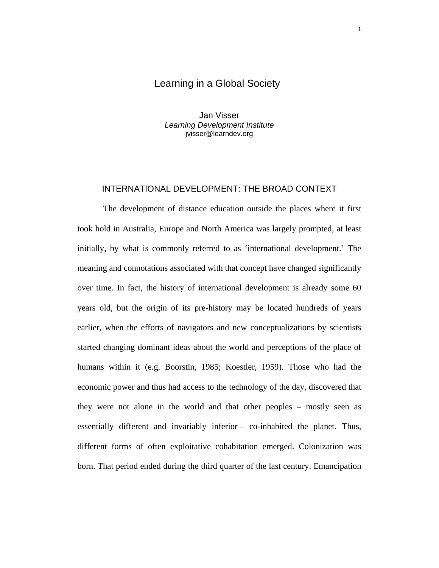# Learning in a Global Society

Jan Visser *Learning Development Institute*  jvisser@learndev.org

# INTERNATIONAL DEVELOPMENT: THE BROAD CONTEXT

The development of distance education outside the places where it first took hold in Australia, Europe and North America was largely prompted, at least initially, by what is commonly referred to as 'international development.' The meaning and connotations associated with that concept have changed significantly over time. In fact, the history of international development is already some 60 years old, but the origin of its pre-history may be located hundreds of years earlier, when the efforts of navigators and new conceptualizations by scientists started changing dominant ideas about the world and perceptions of the place of humans within it (e.g. Boorstin, 1985; Koestler, 1959). Those who had the economic power and thus had access to the technology of the day, discovered that they were not alone in the world and that other peoples – mostly seen as essentially different and invariably inferior – co-inhabited the planet. Thus, different forms of often exploitative cohabitation emerged. Colonization was born. That period ended during the third quarter of the last century. Emancipation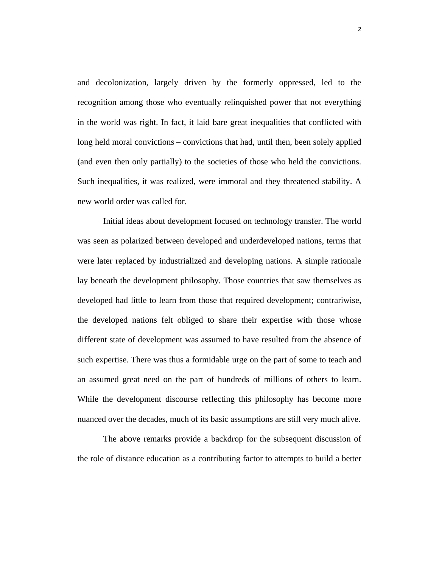and decolonization, largely driven by the formerly oppressed, led to the recognition among those who eventually relinquished power that not everything in the world was right. In fact, it laid bare great inequalities that conflicted with long held moral convictions – convictions that had, until then, been solely applied (and even then only partially) to the societies of those who held the convictions. Such inequalities, it was realized, were immoral and they threatened stability. A new world order was called for.

Initial ideas about development focused on technology transfer. The world was seen as polarized between developed and underdeveloped nations, terms that were later replaced by industrialized and developing nations. A simple rationale lay beneath the development philosophy. Those countries that saw themselves as developed had little to learn from those that required development; contrariwise, the developed nations felt obliged to share their expertise with those whose different state of development was assumed to have resulted from the absence of such expertise. There was thus a formidable urge on the part of some to teach and an assumed great need on the part of hundreds of millions of others to learn. While the development discourse reflecting this philosophy has become more nuanced over the decades, much of its basic assumptions are still very much alive.

The above remarks provide a backdrop for the subsequent discussion of the role of distance education as a contributing factor to attempts to build a better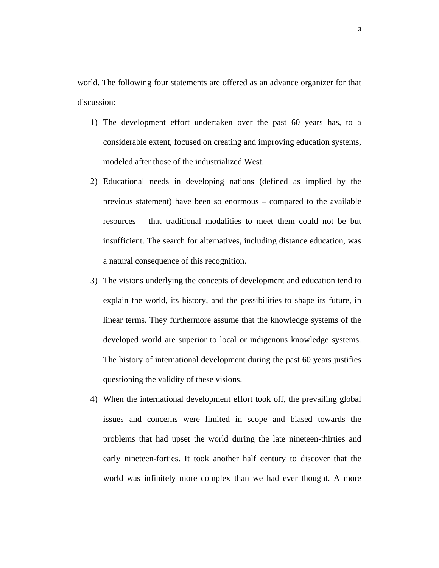world. The following four statements are offered as an advance organizer for that discussion:

- 1) The development effort undertaken over the past 60 years has, to a considerable extent, focused on creating and improving education systems, modeled after those of the industrialized West.
- 2) Educational needs in developing nations (defined as implied by the previous statement) have been so enormous – compared to the available resources – that traditional modalities to meet them could not be but insufficient. The search for alternatives, including distance education, was a natural consequence of this recognition.
- 3) The visions underlying the concepts of development and education tend to explain the world, its history, and the possibilities to shape its future, in linear terms. They furthermore assume that the knowledge systems of the developed world are superior to local or indigenous knowledge systems. The history of international development during the past 60 years justifies questioning the validity of these visions.
- 4) When the international development effort took off, the prevailing global issues and concerns were limited in scope and biased towards the problems that had upset the world during the late nineteen-thirties and early nineteen-forties. It took another half century to discover that the world was infinitely more complex than we had ever thought. A more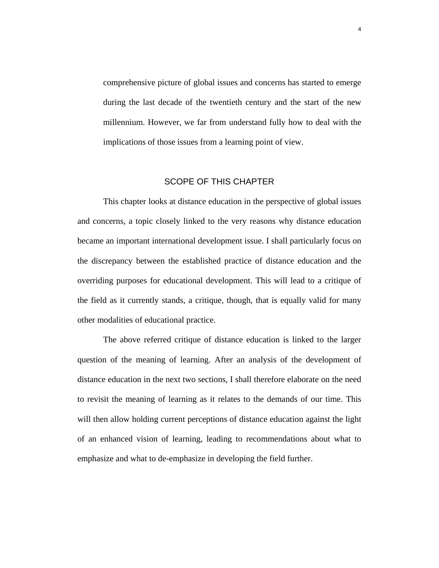comprehensive picture of global issues and concerns has started to emerge during the last decade of the twentieth century and the start of the new millennium. However, we far from understand fully how to deal with the implications of those issues from a learning point of view.

## SCOPE OF THIS CHAPTER

 This chapter looks at distance education in the perspective of global issues and concerns, a topic closely linked to the very reasons why distance education became an important international development issue. I shall particularly focus on the discrepancy between the established practice of distance education and the overriding purposes for educational development. This will lead to a critique of the field as it currently stands, a critique, though, that is equally valid for many other modalities of educational practice.

The above referred critique of distance education is linked to the larger question of the meaning of learning. After an analysis of the development of distance education in the next two sections, I shall therefore elaborate on the need to revisit the meaning of learning as it relates to the demands of our time. This will then allow holding current perceptions of distance education against the light of an enhanced vision of learning, leading to recommendations about what to emphasize and what to de-emphasize in developing the field further.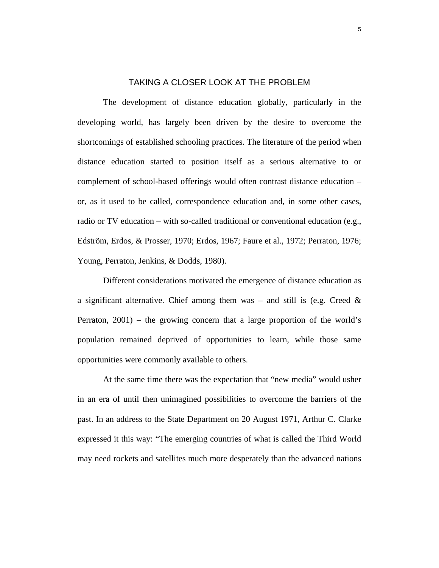# TAKING A CLOSER LOOK AT THE PROBLEM

The development of distance education globally, particularly in the developing world, has largely been driven by the desire to overcome the shortcomings of established schooling practices. The literature of the period when distance education started to position itself as a serious alternative to or complement of school-based offerings would often contrast distance education – or, as it used to be called, correspondence education and, in some other cases, radio or TV education – with so-called traditional or conventional education (e.g., Edström, Erdos, & Prosser, 1970; Erdos, 1967; Faure et al., 1972; Perraton, 1976; Young, Perraton, Jenkins, & Dodds, 1980).

Different considerations motivated the emergence of distance education as a significant alternative. Chief among them was – and still is (e.g. Creed  $\&$ Perraton,  $2001$ ) – the growing concern that a large proportion of the world's population remained deprived of opportunities to learn, while those same opportunities were commonly available to others.

At the same time there was the expectation that "new media" would usher in an era of until then unimagined possibilities to overcome the barriers of the past. In an address to the State Department on 20 August 1971, Arthur C. Clarke expressed it this way: "The emerging countries of what is called the Third World may need rockets and satellites much more desperately than the advanced nations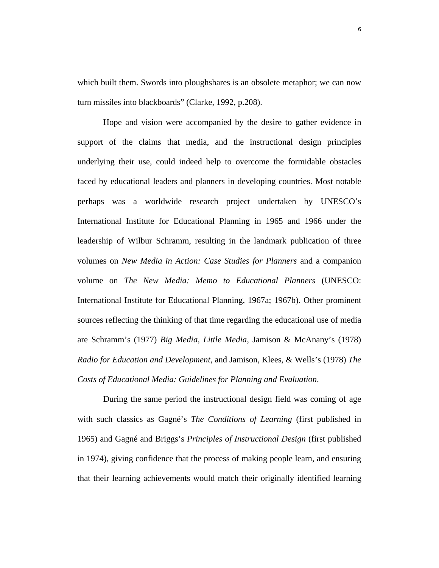which built them. Swords into ploughshares is an obsolete metaphor; we can now turn missiles into blackboards" (Clarke, 1992, p.208).

Hope and vision were accompanied by the desire to gather evidence in support of the claims that media, and the instructional design principles underlying their use, could indeed help to overcome the formidable obstacles faced by educational leaders and planners in developing countries. Most notable perhaps was a worldwide research project undertaken by UNESCO's International Institute for Educational Planning in 1965 and 1966 under the leadership of Wilbur Schramm, resulting in the landmark publication of three volumes on *New Media in Action: Case Studies for Planners* and a companion volume on *The New Media: Memo to Educational Planners* (UNESCO: International Institute for Educational Planning, 1967a; 1967b). Other prominent sources reflecting the thinking of that time regarding the educational use of media are Schramm's (1977) *Big Media, Little Media*, Jamison & McAnany's (1978) *Radio for Education and Development*, and Jamison, Klees, & Wells's (1978) *The Costs of Educational Media: Guidelines for Planning and Evaluation*.

During the same period the instructional design field was coming of age with such classics as Gagné's *The Conditions of Learning* (first published in 1965) and Gagné and Briggs's *Principles of Instructional Design* (first published in 1974), giving confidence that the process of making people learn, and ensuring that their learning achievements would match their originally identified learning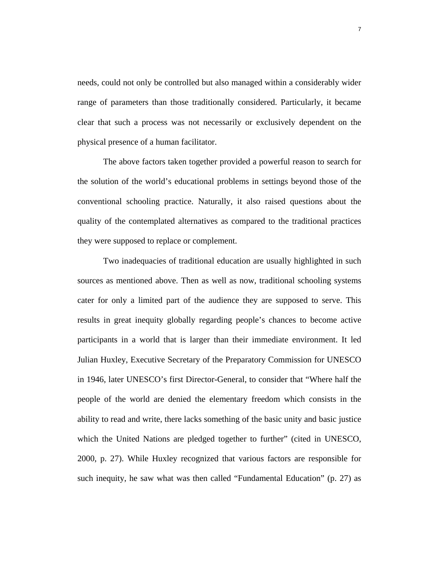needs, could not only be controlled but also managed within a considerably wider range of parameters than those traditionally considered. Particularly, it became clear that such a process was not necessarily or exclusively dependent on the physical presence of a human facilitator.

The above factors taken together provided a powerful reason to search for the solution of the world's educational problems in settings beyond those of the conventional schooling practice. Naturally, it also raised questions about the quality of the contemplated alternatives as compared to the traditional practices they were supposed to replace or complement.

Two inadequacies of traditional education are usually highlighted in such sources as mentioned above. Then as well as now, traditional schooling systems cater for only a limited part of the audience they are supposed to serve. This results in great inequity globally regarding people's chances to become active participants in a world that is larger than their immediate environment. It led Julian Huxley, Executive Secretary of the Preparatory Commission for UNESCO in 1946, later UNESCO's first Director-General, to consider that "Where half the people of the world are denied the elementary freedom which consists in the ability to read and write, there lacks something of the basic unity and basic justice which the United Nations are pledged together to further" (cited in UNESCO, 2000, p. 27). While Huxley recognized that various factors are responsible for such inequity, he saw what was then called "Fundamental Education" (p. 27) as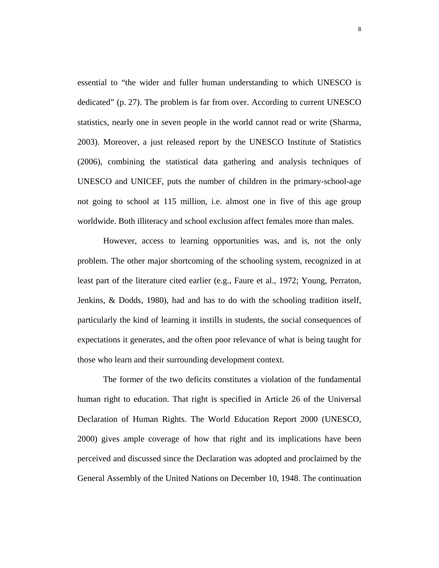essential to "the wider and fuller human understanding to which UNESCO is dedicated" (p. 27). The problem is far from over. According to current UNESCO statistics, nearly one in seven people in the world cannot read or write (Sharma, 2003). Moreover, a just released report by the UNESCO Institute of Statistics (2006), combining the statistical data gathering and analysis techniques of UNESCO and UNICEF, puts the number of children in the primary-school-age not going to school at 115 million, i.e. almost one in five of this age group worldwide. Both illiteracy and school exclusion affect females more than males.

However, access to learning opportunities was, and is, not the only problem. The other major shortcoming of the schooling system, recognized in at least part of the literature cited earlier (e.g., Faure et al., 1972; Young, Perraton, Jenkins, & Dodds, 1980), had and has to do with the schooling tradition itself, particularly the kind of learning it instills in students, the social consequences of expectations it generates, and the often poor relevance of what is being taught for those who learn and their surrounding development context.

The former of the two deficits constitutes a violation of the fundamental human right to education. That right is specified in Article 26 of the Universal Declaration of Human Rights. The World Education Report 2000 (UNESCO, 2000) gives ample coverage of how that right and its implications have been perceived and discussed since the Declaration was adopted and proclaimed by the General Assembly of the United Nations on December 10, 1948. The continuation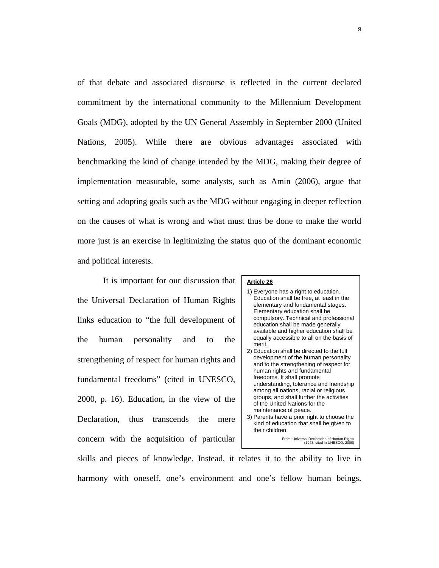of that debate and associated discourse is reflected in the current declared commitment by the international community to the Millennium Development Goals (MDG), adopted by the UN General Assembly in September 2000 (United Nations, 2005). While there are obvious advantages associated with benchmarking the kind of change intended by the MDG, making their degree of implementation measurable, some analysts, such as Amin (2006), argue that setting and adopting goals such as the MDG without engaging in deeper reflection on the causes of what is wrong and what must thus be done to make the world more just is an exercise in legitimizing the status quo of the dominant economic and political interests.

It is important for our discussion that the Universal Declaration of Human Rights links education to "the full development of the human personality and to the strengthening of respect for human rights and fundamental freedoms" (cited in UNESCO, 2000, p. 16). Education, in the view of the Declaration, thus transcends the mere concern with the acquisition of particular

#### **Article 26**

1) Everyone has a right to education. Education shall be free, at least in the elementary and fundamental stages. Elementary education shall be compulsory. Technical and professional education shall be made generally available and higher education shall be equally accessible to all on the basis of merit. 2) Education shall be directed to the full development of the human personality and to the strengthening of respect for human rights and fundamental freedoms. It shall promote

understanding, tolerance and friendship among all nations, racial or religious groups, and shall further the activities of the United Nations for the maintenance of peace. 3) Parents have a prior right to choose the

kind of education that shall be given to their children.

From: Universal Declaration of Human Rights (1948; cited in UNESCO, 2000)

skills and pieces of knowledge. Instead, it relates it to the ability to live in harmony with oneself, one's environment and one's fellow human beings.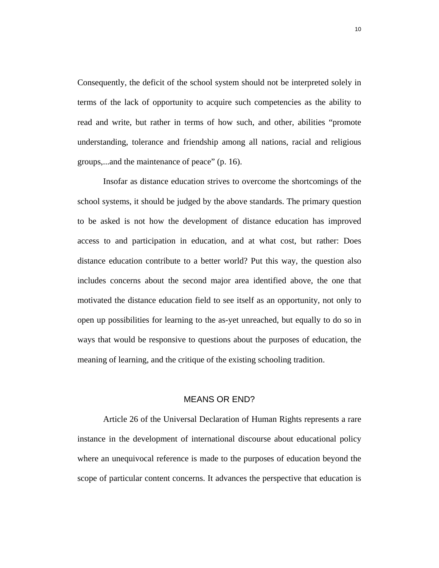Consequently, the deficit of the school system should not be interpreted solely in terms of the lack of opportunity to acquire such competencies as the ability to read and write, but rather in terms of how such, and other, abilities "promote understanding, tolerance and friendship among all nations, racial and religious groups,...and the maintenance of peace" (p. 16).

Insofar as distance education strives to overcome the shortcomings of the school systems, it should be judged by the above standards. The primary question to be asked is not how the development of distance education has improved access to and participation in education, and at what cost, but rather: Does distance education contribute to a better world? Put this way, the question also includes concerns about the second major area identified above, the one that motivated the distance education field to see itself as an opportunity, not only to open up possibilities for learning to the as-yet unreached, but equally to do so in ways that would be responsive to questions about the purposes of education, the meaning of learning, and the critique of the existing schooling tradition.

#### MEANS OR END?

 Article 26 of the Universal Declaration of Human Rights represents a rare instance in the development of international discourse about educational policy where an unequivocal reference is made to the purposes of education beyond the scope of particular content concerns. It advances the perspective that education is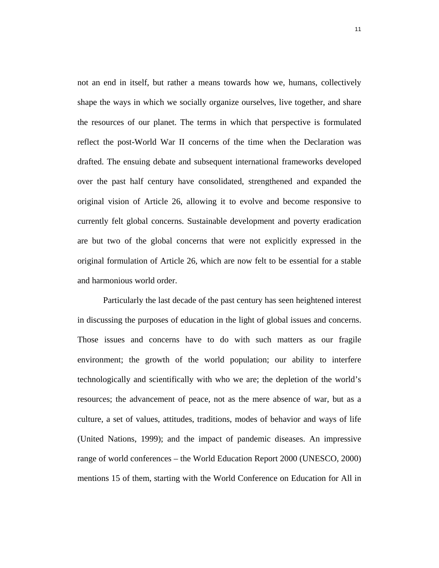not an end in itself, but rather a means towards how we, humans, collectively shape the ways in which we socially organize ourselves, live together, and share the resources of our planet. The terms in which that perspective is formulated reflect the post-World War II concerns of the time when the Declaration was drafted. The ensuing debate and subsequent international frameworks developed over the past half century have consolidated, strengthened and expanded the original vision of Article 26, allowing it to evolve and become responsive to currently felt global concerns. Sustainable development and poverty eradication are but two of the global concerns that were not explicitly expressed in the original formulation of Article 26, which are now felt to be essential for a stable and harmonious world order.

Particularly the last decade of the past century has seen heightened interest in discussing the purposes of education in the light of global issues and concerns. Those issues and concerns have to do with such matters as our fragile environment; the growth of the world population; our ability to interfere technologically and scientifically with who we are; the depletion of the world's resources; the advancement of peace, not as the mere absence of war, but as a culture, a set of values, attitudes, traditions, modes of behavior and ways of life (United Nations, 1999); and the impact of pandemic diseases. An impressive range of world conferences – the World Education Report 2000 (UNESCO, 2000) mentions 15 of them, starting with the World Conference on Education for All in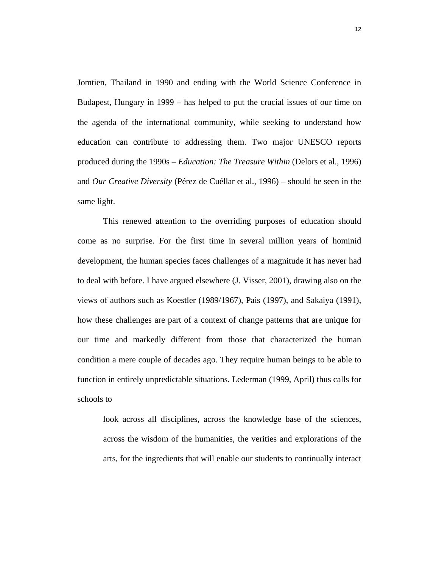Jomtien, Thailand in 1990 and ending with the World Science Conference in Budapest, Hungary in 1999 – has helped to put the crucial issues of our time on the agenda of the international community, while seeking to understand how education can contribute to addressing them. Two major UNESCO reports produced during the 1990s – *Education: The Treasure Within* (Delors et al., 1996) and *Our Creative Diversity* (Pérez de Cuéllar et al., 1996) – should be seen in the same light.

This renewed attention to the overriding purposes of education should come as no surprise. For the first time in several million years of hominid development, the human species faces challenges of a magnitude it has never had to deal with before. I have argued elsewhere (J. Visser, 2001), drawing also on the views of authors such as Koestler (1989/1967), Pais (1997), and Sakaiya (1991), how these challenges are part of a context of change patterns that are unique for our time and markedly different from those that characterized the human condition a mere couple of decades ago. They require human beings to be able to function in entirely unpredictable situations. Lederman (1999, April) thus calls for schools to

look across all disciplines, across the knowledge base of the sciences, across the wisdom of the humanities, the verities and explorations of the arts, for the ingredients that will enable our students to continually interact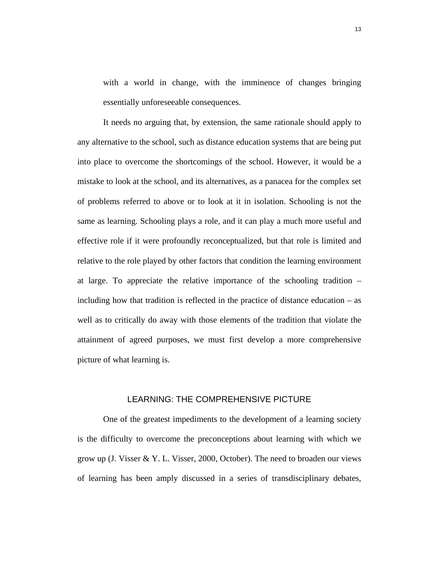with a world in change, with the imminence of changes bringing essentially unforeseeable consequences.

It needs no arguing that, by extension, the same rationale should apply to any alternative to the school, such as distance education systems that are being put into place to overcome the shortcomings of the school. However, it would be a mistake to look at the school, and its alternatives, as a panacea for the complex set of problems referred to above or to look at it in isolation. Schooling is not the same as learning. Schooling plays a role, and it can play a much more useful and effective role if it were profoundly reconceptualized, but that role is limited and relative to the role played by other factors that condition the learning environment at large. To appreciate the relative importance of the schooling tradition – including how that tradition is reflected in the practice of distance education – as well as to critically do away with those elements of the tradition that violate the attainment of agreed purposes, we must first develop a more comprehensive picture of what learning is.

# LEARNING: THE COMPREHENSIVE PICTURE

One of the greatest impediments to the development of a learning society is the difficulty to overcome the preconceptions about learning with which we grow up (J. Visser & Y. L. Visser, 2000, October). The need to broaden our views of learning has been amply discussed in a series of transdisciplinary debates,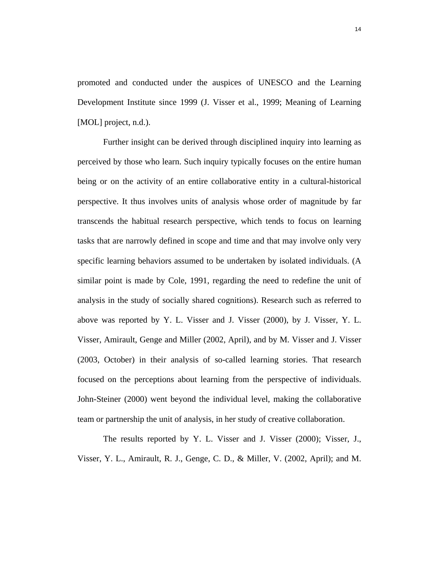promoted and conducted under the auspices of UNESCO and the Learning Development Institute since 1999 (J. Visser et al., 1999; Meaning of Learning [MOL] project, n.d.).

Further insight can be derived through disciplined inquiry into learning as perceived by those who learn. Such inquiry typically focuses on the entire human being or on the activity of an entire collaborative entity in a cultural-historical perspective. It thus involves units of analysis whose order of magnitude by far transcends the habitual research perspective, which tends to focus on learning tasks that are narrowly defined in scope and time and that may involve only very specific learning behaviors assumed to be undertaken by isolated individuals. (A similar point is made by Cole, 1991, regarding the need to redefine the unit of analysis in the study of socially shared cognitions). Research such as referred to above was reported by Y. L. Visser and J. Visser (2000), by J. Visser, Y. L. Visser, Amirault, Genge and Miller (2002, April), and by M. Visser and J. Visser (2003, October) in their analysis of so-called learning stories. That research focused on the perceptions about learning from the perspective of individuals. John-Steiner (2000) went beyond the individual level, making the collaborative team or partnership the unit of analysis, in her study of creative collaboration.

The results reported by Y. L. Visser and J. Visser (2000); Visser, J., Visser, Y. L., Amirault, R. J., Genge, C. D., & Miller, V. (2002, April); and M.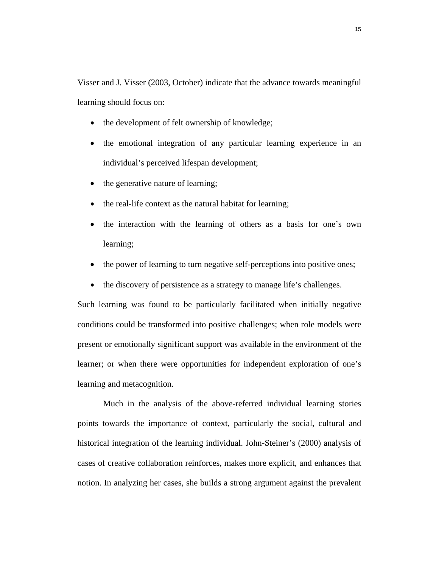Visser and J. Visser (2003, October) indicate that the advance towards meaningful learning should focus on:

- the development of felt ownership of knowledge;
- the emotional integration of any particular learning experience in an individual's perceived lifespan development;
- the generative nature of learning;
- the real-life context as the natural habitat for learning;
- the interaction with the learning of others as a basis for one's own learning;
- the power of learning to turn negative self-perceptions into positive ones;
- the discovery of persistence as a strategy to manage life's challenges.

Such learning was found to be particularly facilitated when initially negative conditions could be transformed into positive challenges; when role models were present or emotionally significant support was available in the environment of the learner; or when there were opportunities for independent exploration of one's learning and metacognition.

Much in the analysis of the above-referred individual learning stories points towards the importance of context, particularly the social, cultural and historical integration of the learning individual. John-Steiner's (2000) analysis of cases of creative collaboration reinforces, makes more explicit, and enhances that notion. In analyzing her cases, she builds a strong argument against the prevalent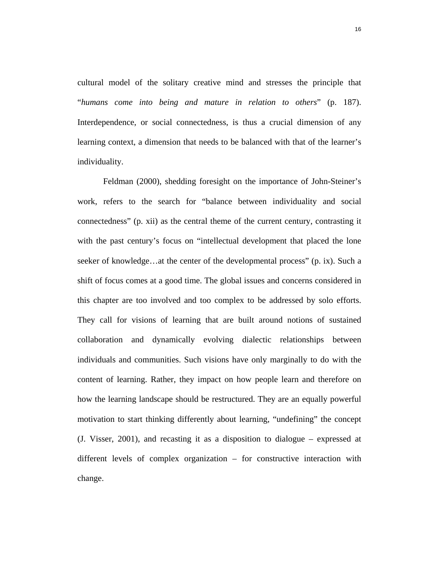cultural model of the solitary creative mind and stresses the principle that "*humans come into being and mature in relation to others*" (p. 187). Interdependence, or social connectedness, is thus a crucial dimension of any learning context, a dimension that needs to be balanced with that of the learner's individuality.

Feldman (2000), shedding foresight on the importance of John-Steiner's work, refers to the search for "balance between individuality and social connectedness" (p. xii) as the central theme of the current century, contrasting it with the past century's focus on "intellectual development that placed the lone seeker of knowledge…at the center of the developmental process" (p. ix). Such a shift of focus comes at a good time. The global issues and concerns considered in this chapter are too involved and too complex to be addressed by solo efforts. They call for visions of learning that are built around notions of sustained collaboration and dynamically evolving dialectic relationships between individuals and communities. Such visions have only marginally to do with the content of learning. Rather, they impact on how people learn and therefore on how the learning landscape should be restructured. They are an equally powerful motivation to start thinking differently about learning, "undefining" the concept (J. Visser, 2001), and recasting it as a disposition to dialogue – expressed at different levels of complex organization – for constructive interaction with change.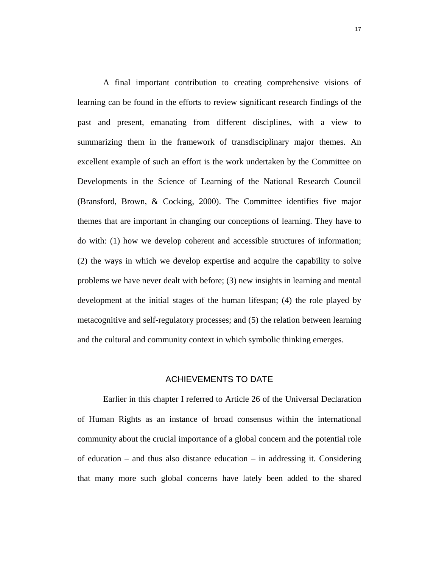A final important contribution to creating comprehensive visions of learning can be found in the efforts to review significant research findings of the past and present, emanating from different disciplines, with a view to summarizing them in the framework of transdisciplinary major themes. An excellent example of such an effort is the work undertaken by the Committee on Developments in the Science of Learning of the National Research Council (Bransford, Brown, & Cocking, 2000). The Committee identifies five major themes that are important in changing our conceptions of learning. They have to do with: (1) how we develop coherent and accessible structures of information; (2) the ways in which we develop expertise and acquire the capability to solve problems we have never dealt with before; (3) new insights in learning and mental development at the initial stages of the human lifespan; (4) the role played by metacognitive and self-regulatory processes; and (5) the relation between learning and the cultural and community context in which symbolic thinking emerges.

#### ACHIEVEMENTS TO DATE

Earlier in this chapter I referred to Article 26 of the Universal Declaration of Human Rights as an instance of broad consensus within the international community about the crucial importance of a global concern and the potential role of education – and thus also distance education – in addressing it. Considering that many more such global concerns have lately been added to the shared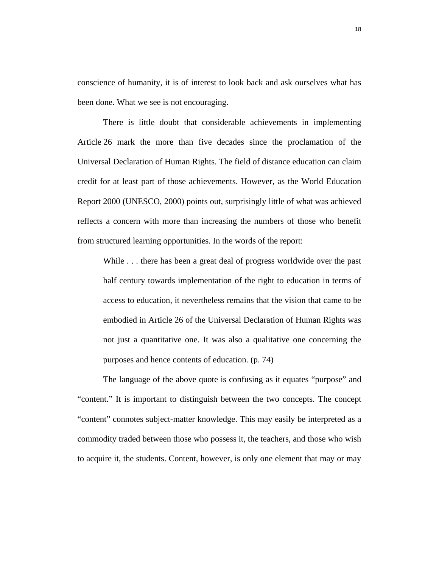conscience of humanity, it is of interest to look back and ask ourselves what has been done. What we see is not encouraging.

There is little doubt that considerable achievements in implementing Article 26 mark the more than five decades since the proclamation of the Universal Declaration of Human Rights. The field of distance education can claim credit for at least part of those achievements. However, as the World Education Report 2000 (UNESCO, 2000) points out, surprisingly little of what was achieved reflects a concern with more than increasing the numbers of those who benefit from structured learning opportunities. In the words of the report:

While ... there has been a great deal of progress worldwide over the past half century towards implementation of the right to education in terms of access to education, it nevertheless remains that the vision that came to be embodied in Article 26 of the Universal Declaration of Human Rights was not just a quantitative one. It was also a qualitative one concerning the purposes and hence contents of education. (p. 74)

The language of the above quote is confusing as it equates "purpose" and "content." It is important to distinguish between the two concepts. The concept "content" connotes subject-matter knowledge. This may easily be interpreted as a commodity traded between those who possess it, the teachers, and those who wish to acquire it, the students. Content, however, is only one element that may or may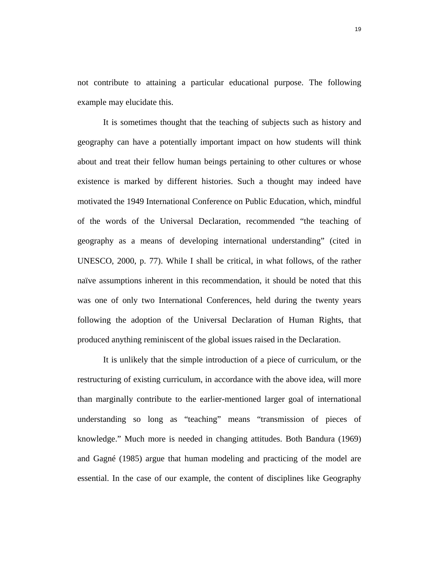not contribute to attaining a particular educational purpose. The following example may elucidate this.

It is sometimes thought that the teaching of subjects such as history and geography can have a potentially important impact on how students will think about and treat their fellow human beings pertaining to other cultures or whose existence is marked by different histories. Such a thought may indeed have motivated the 1949 International Conference on Public Education, which, mindful of the words of the Universal Declaration, recommended "the teaching of geography as a means of developing international understanding" (cited in UNESCO, 2000, p. 77). While I shall be critical, in what follows, of the rather naïve assumptions inherent in this recommendation, it should be noted that this was one of only two International Conferences, held during the twenty years following the adoption of the Universal Declaration of Human Rights, that produced anything reminiscent of the global issues raised in the Declaration.

It is unlikely that the simple introduction of a piece of curriculum, or the restructuring of existing curriculum, in accordance with the above idea, will more than marginally contribute to the earlier-mentioned larger goal of international understanding so long as "teaching" means "transmission of pieces of knowledge." Much more is needed in changing attitudes. Both Bandura (1969) and Gagné (1985) argue that human modeling and practicing of the model are essential. In the case of our example, the content of disciplines like Geography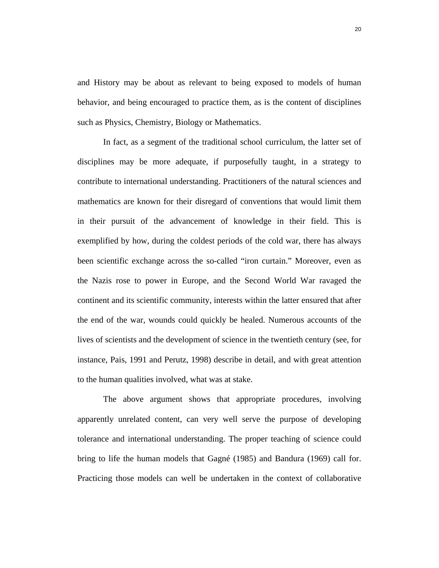and History may be about as relevant to being exposed to models of human behavior, and being encouraged to practice them, as is the content of disciplines such as Physics, Chemistry, Biology or Mathematics.

In fact, as a segment of the traditional school curriculum, the latter set of disciplines may be more adequate, if purposefully taught, in a strategy to contribute to international understanding. Practitioners of the natural sciences and mathematics are known for their disregard of conventions that would limit them in their pursuit of the advancement of knowledge in their field. This is exemplified by how, during the coldest periods of the cold war, there has always been scientific exchange across the so-called "iron curtain." Moreover, even as the Nazis rose to power in Europe, and the Second World War ravaged the continent and its scientific community, interests within the latter ensured that after the end of the war, wounds could quickly be healed. Numerous accounts of the lives of scientists and the development of science in the twentieth century (see, for instance, Pais, 1991 and Perutz, 1998) describe in detail, and with great attention to the human qualities involved, what was at stake.

The above argument shows that appropriate procedures, involving apparently unrelated content, can very well serve the purpose of developing tolerance and international understanding. The proper teaching of science could bring to life the human models that Gagné (1985) and Bandura (1969) call for. Practicing those models can well be undertaken in the context of collaborative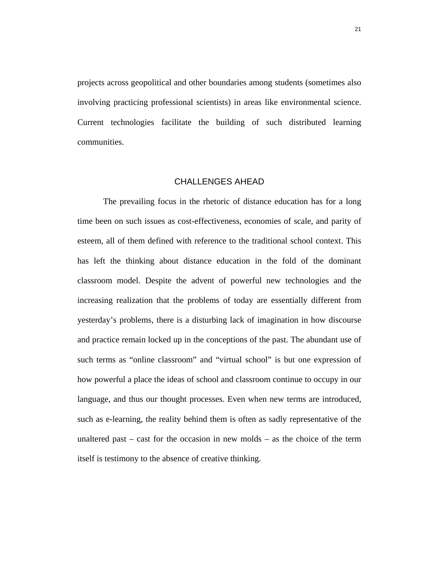projects across geopolitical and other boundaries among students (sometimes also involving practicing professional scientists) in areas like environmental science. Current technologies facilitate the building of such distributed learning communities.

#### CHALLENGES AHEAD

The prevailing focus in the rhetoric of distance education has for a long time been on such issues as cost-effectiveness, economies of scale, and parity of esteem, all of them defined with reference to the traditional school context. This has left the thinking about distance education in the fold of the dominant classroom model. Despite the advent of powerful new technologies and the increasing realization that the problems of today are essentially different from yesterday's problems, there is a disturbing lack of imagination in how discourse and practice remain locked up in the conceptions of the past. The abundant use of such terms as "online classroom" and "virtual school" is but one expression of how powerful a place the ideas of school and classroom continue to occupy in our language, and thus our thought processes. Even when new terms are introduced, such as e-learning, the reality behind them is often as sadly representative of the unaltered past – cast for the occasion in new molds – as the choice of the term itself is testimony to the absence of creative thinking.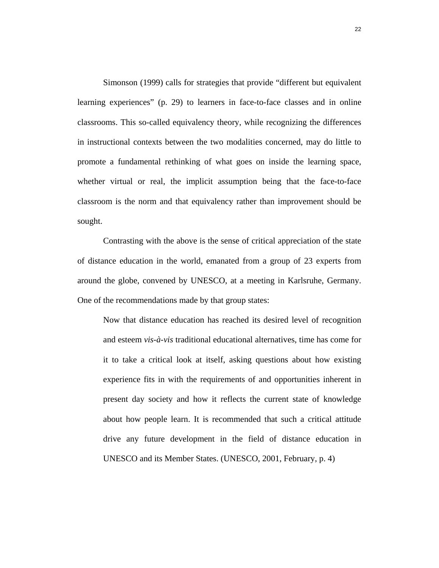Simonson (1999) calls for strategies that provide "different but equivalent learning experiences" (p. 29) to learners in face-to-face classes and in online classrooms. This so-called equivalency theory, while recognizing the differences in instructional contexts between the two modalities concerned, may do little to promote a fundamental rethinking of what goes on inside the learning space, whether virtual or real, the implicit assumption being that the face-to-face classroom is the norm and that equivalency rather than improvement should be sought.

Contrasting with the above is the sense of critical appreciation of the state of distance education in the world, emanated from a group of 23 experts from around the globe, convened by UNESCO, at a meeting in Karlsruhe, Germany. One of the recommendations made by that group states:

Now that distance education has reached its desired level of recognition and esteem *vis-à-vis* traditional educational alternatives, time has come for it to take a critical look at itself, asking questions about how existing experience fits in with the requirements of and opportunities inherent in present day society and how it reflects the current state of knowledge about how people learn. It is recommended that such a critical attitude drive any future development in the field of distance education in UNESCO and its Member States. (UNESCO, 2001, February, p. 4)

22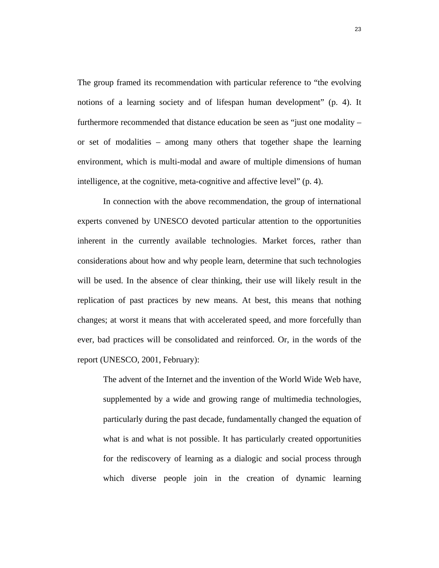The group framed its recommendation with particular reference to "the evolving notions of a learning society and of lifespan human development" (p. 4). It furthermore recommended that distance education be seen as "just one modality – or set of modalities – among many others that together shape the learning environment, which is multi-modal and aware of multiple dimensions of human intelligence, at the cognitive, meta-cognitive and affective level" (p. 4).

 In connection with the above recommendation, the group of international experts convened by UNESCO devoted particular attention to the opportunities inherent in the currently available technologies. Market forces, rather than considerations about how and why people learn, determine that such technologies will be used. In the absence of clear thinking, their use will likely result in the replication of past practices by new means. At best, this means that nothing changes; at worst it means that with accelerated speed, and more forcefully than ever, bad practices will be consolidated and reinforced. Or, in the words of the report (UNESCO, 2001, February):

The advent of the Internet and the invention of the World Wide Web have, supplemented by a wide and growing range of multimedia technologies, particularly during the past decade, fundamentally changed the equation of what is and what is not possible. It has particularly created opportunities for the rediscovery of learning as a dialogic and social process through which diverse people join in the creation of dynamic learning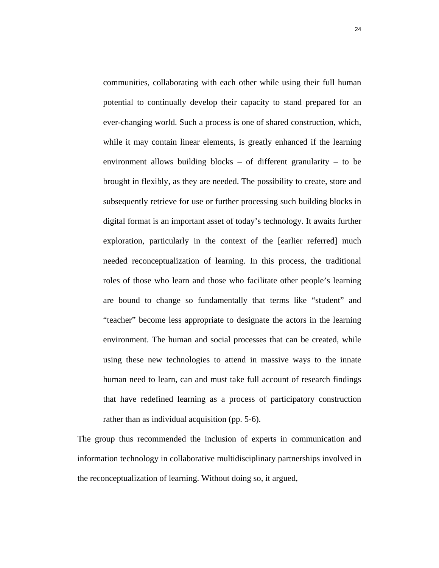communities, collaborating with each other while using their full human potential to continually develop their capacity to stand prepared for an ever-changing world. Such a process is one of shared construction, which, while it may contain linear elements, is greatly enhanced if the learning environment allows building blocks – of different granularity – to be brought in flexibly, as they are needed. The possibility to create, store and subsequently retrieve for use or further processing such building blocks in digital format is an important asset of today's technology. It awaits further exploration, particularly in the context of the [earlier referred] much needed reconceptualization of learning. In this process, the traditional roles of those who learn and those who facilitate other people's learning are bound to change so fundamentally that terms like "student" and "teacher" become less appropriate to designate the actors in the learning environment. The human and social processes that can be created, while using these new technologies to attend in massive ways to the innate human need to learn, can and must take full account of research findings that have redefined learning as a process of participatory construction rather than as individual acquisition (pp. 5-6).

The group thus recommended the inclusion of experts in communication and information technology in collaborative multidisciplinary partnerships involved in the reconceptualization of learning. Without doing so, it argued,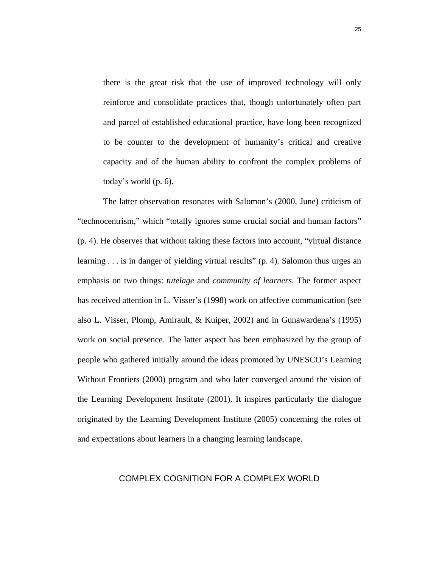there is the great risk that the use of improved technology will only reinforce and consolidate practices that, though unfortunately often part and parcel of established educational practice, have long been recognized to be counter to the development of humanity's critical and creative capacity and of the human ability to confront the complex problems of today's world (p. 6).

The latter observation resonates with Salomon's (2000, June) criticism of "technocentrism," which "totally ignores some crucial social and human factors" (p. 4). He observes that without taking these factors into account, "virtual distance learning . . . is in danger of yielding virtual results" (p. 4). Salomon thus urges an emphasis on two things: *tutelage* and *community of learners*. The former aspect has received attention in L. Visser's (1998) work on affective communication (see also L. Visser, Plomp, Amirault, & Kuiper, 2002) and in Gunawardena's (1995) work on social presence. The latter aspect has been emphasized by the group of people who gathered initially around the ideas promoted by UNESCO's Learning Without Frontiers (2000) program and who later converged around the vision of the Learning Development Institute (2001). It inspires particularly the dialogue originated by the Learning Development Institute (2005) concerning the roles of and expectations about learners in a changing learning landscape.

# COMPLEX COGNITION FOR A COMPLEX WORLD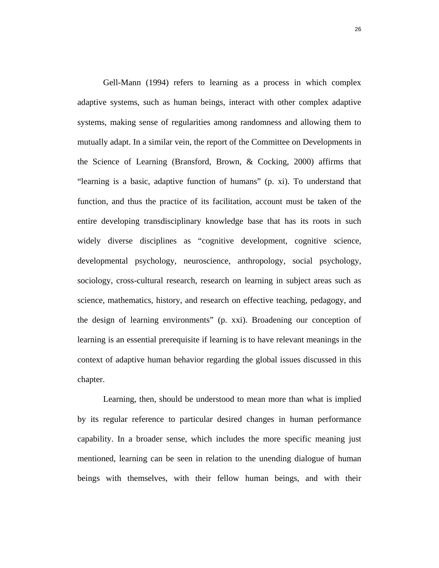Gell-Mann (1994) refers to learning as a process in which complex adaptive systems, such as human beings, interact with other complex adaptive systems, making sense of regularities among randomness and allowing them to mutually adapt. In a similar vein, the report of the Committee on Developments in the Science of Learning (Bransford, Brown, & Cocking, 2000) affirms that "learning is a basic, adaptive function of humans" (p. xi). To understand that function, and thus the practice of its facilitation, account must be taken of the entire developing transdisciplinary knowledge base that has its roots in such widely diverse disciplines as "cognitive development, cognitive science, developmental psychology, neuroscience, anthropology, social psychology, sociology, cross-cultural research, research on learning in subject areas such as science, mathematics, history, and research on effective teaching, pedagogy, and the design of learning environments" (p. xxi). Broadening our conception of learning is an essential prerequisite if learning is to have relevant meanings in the context of adaptive human behavior regarding the global issues discussed in this chapter.

Learning, then, should be understood to mean more than what is implied by its regular reference to particular desired changes in human performance capability. In a broader sense, which includes the more specific meaning just mentioned, learning can be seen in relation to the unending dialogue of human beings with themselves, with their fellow human beings, and with their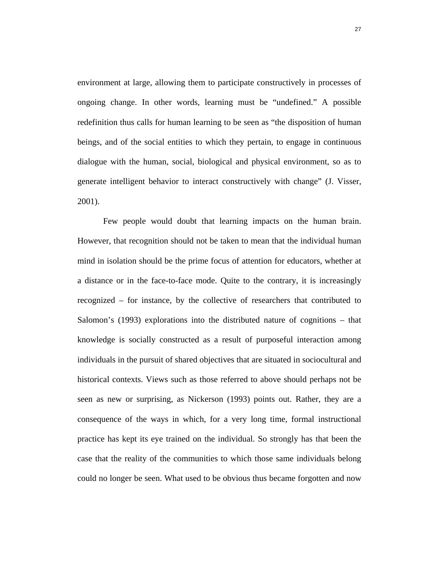environment at large, allowing them to participate constructively in processes of ongoing change. In other words, learning must be "undefined." A possible redefinition thus calls for human learning to be seen as "the disposition of human beings, and of the social entities to which they pertain, to engage in continuous dialogue with the human, social, biological and physical environment, so as to generate intelligent behavior to interact constructively with change" (J. Visser, 2001).

 Few people would doubt that learning impacts on the human brain. However, that recognition should not be taken to mean that the individual human mind in isolation should be the prime focus of attention for educators, whether at a distance or in the face-to-face mode. Quite to the contrary, it is increasingly recognized – for instance, by the collective of researchers that contributed to Salomon's (1993) explorations into the distributed nature of cognitions – that knowledge is socially constructed as a result of purposeful interaction among individuals in the pursuit of shared objectives that are situated in sociocultural and historical contexts. Views such as those referred to above should perhaps not be seen as new or surprising, as Nickerson (1993) points out. Rather, they are a consequence of the ways in which, for a very long time, formal instructional practice has kept its eye trained on the individual. So strongly has that been the case that the reality of the communities to which those same individuals belong could no longer be seen. What used to be obvious thus became forgotten and now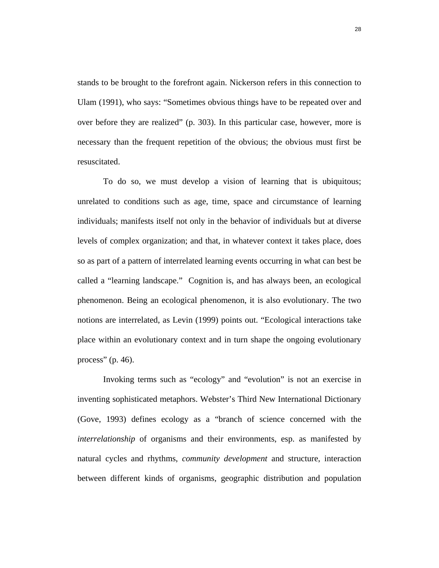stands to be brought to the forefront again. Nickerson refers in this connection to Ulam (1991), who says: "Sometimes obvious things have to be repeated over and over before they are realized" (p. 303). In this particular case, however, more is necessary than the frequent repetition of the obvious; the obvious must first be resuscitated.

 To do so, we must develop a vision of learning that is ubiquitous; unrelated to conditions such as age, time, space and circumstance of learning individuals; manifests itself not only in the behavior of individuals but at diverse levels of complex organization; and that, in whatever context it takes place, does so as part of a pattern of interrelated learning events occurring in what can best be called a "learning landscape." Cognition is, and has always been, an ecological phenomenon. Being an ecological phenomenon, it is also evolutionary. The two notions are interrelated, as Levin (1999) points out. "Ecological interactions take place within an evolutionary context and in turn shape the ongoing evolutionary process" (p. 46).

 Invoking terms such as "ecology" and "evolution" is not an exercise in inventing sophisticated metaphors. Webster's Third New International Dictionary (Gove, 1993) defines ecology as a "branch of science concerned with the *interrelationship* of organisms and their environments, esp. as manifested by natural cycles and rhythms, *community development* and structure, interaction between different kinds of organisms, geographic distribution and population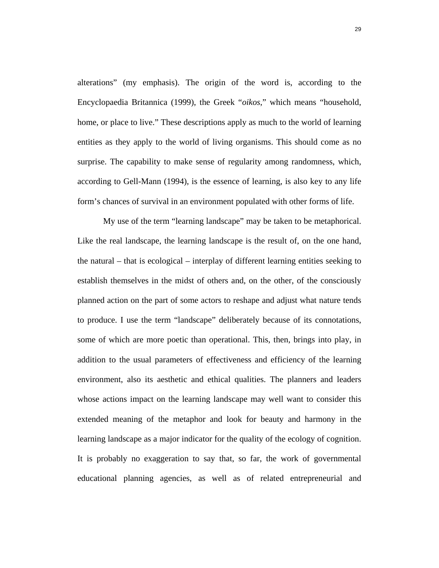alterations" (my emphasis). The origin of the word is, according to the Encyclopaedia Britannica (1999), the Greek "*oikos*," which means "household, home, or place to live." These descriptions apply as much to the world of learning entities as they apply to the world of living organisms. This should come as no surprise. The capability to make sense of regularity among randomness, which, according to Gell-Mann (1994), is the essence of learning, is also key to any life form's chances of survival in an environment populated with other forms of life.

My use of the term "learning landscape" may be taken to be metaphorical. Like the real landscape, the learning landscape is the result of, on the one hand, the natural – that is ecological – interplay of different learning entities seeking to establish themselves in the midst of others and, on the other, of the consciously planned action on the part of some actors to reshape and adjust what nature tends to produce. I use the term "landscape" deliberately because of its connotations, some of which are more poetic than operational. This, then, brings into play, in addition to the usual parameters of effectiveness and efficiency of the learning environment, also its aesthetic and ethical qualities. The planners and leaders whose actions impact on the learning landscape may well want to consider this extended meaning of the metaphor and look for beauty and harmony in the learning landscape as a major indicator for the quality of the ecology of cognition. It is probably no exaggeration to say that, so far, the work of governmental educational planning agencies, as well as of related entrepreneurial and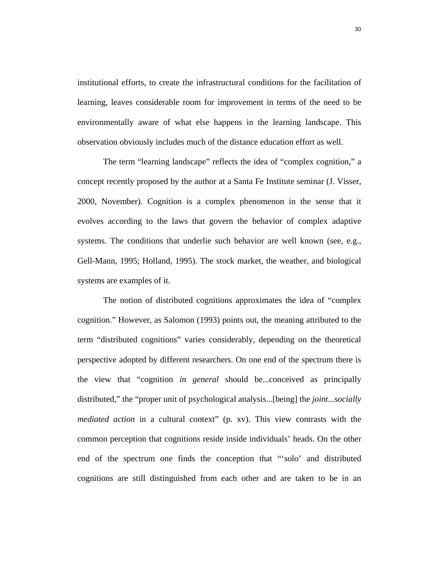institutional efforts, to create the infrastructural conditions for the facilitation of learning, leaves considerable room for improvement in terms of the need to be environmentally aware of what else happens in the learning landscape. This observation obviously includes much of the distance education effort as well.

The term "learning landscape" reflects the idea of "complex cognition," a concept recently proposed by the author at a Santa Fe Institute seminar (J. Visser, 2000, November). Cognition is a complex phenomenon in the sense that it evolves according to the laws that govern the behavior of complex adaptive systems. The conditions that underlie such behavior are well known (see, e.g., Gell-Mann, 1995; Holland, 1995). The stock market, the weather, and biological systems are examples of it.

The notion of distributed cognitions approximates the idea of "complex cognition." However, as Salomon (1993) points out, the meaning attributed to the term "distributed cognitions" varies considerably, depending on the theoretical perspective adopted by different researchers. On one end of the spectrum there is the view that "cognition *in general* should be...conceived as principally distributed," the "proper unit of psychological analysis...[being] the *joint...socially mediated action* in a cultural context" (p. xv). This view contrasts with the common perception that cognitions reside inside individuals' heads. On the other end of the spectrum one finds the conception that "'solo' and distributed cognitions are still distinguished from each other and are taken to be in an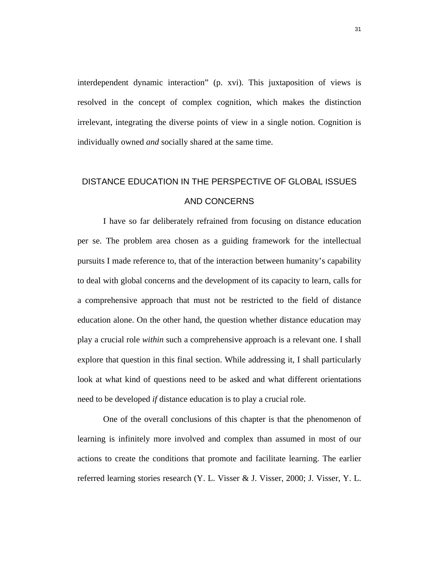interdependent dynamic interaction" (p. xvi). This juxtaposition of views is resolved in the concept of complex cognition, which makes the distinction irrelevant, integrating the diverse points of view in a single notion. Cognition is individually owned *and* socially shared at the same time.

# DISTANCE EDUCATION IN THE PERSPECTIVE OF GLOBAL ISSUES AND CONCERNS

 I have so far deliberately refrained from focusing on distance education per se. The problem area chosen as a guiding framework for the intellectual pursuits I made reference to, that of the interaction between humanity's capability to deal with global concerns and the development of its capacity to learn, calls for a comprehensive approach that must not be restricted to the field of distance education alone. On the other hand, the question whether distance education may play a crucial role *within* such a comprehensive approach is a relevant one. I shall explore that question in this final section. While addressing it, I shall particularly look at what kind of questions need to be asked and what different orientations need to be developed *if* distance education is to play a crucial role.

One of the overall conclusions of this chapter is that the phenomenon of learning is infinitely more involved and complex than assumed in most of our actions to create the conditions that promote and facilitate learning. The earlier referred learning stories research (Y. L. Visser & J. Visser, 2000; J. Visser, Y. L.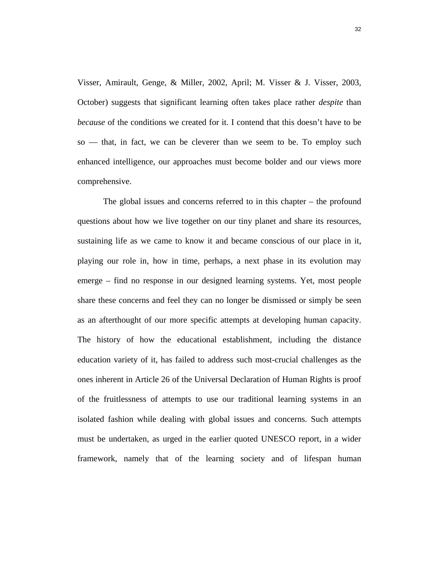Visser, Amirault, Genge, & Miller, 2002, April; M. Visser & J. Visser, 2003, October) suggests that significant learning often takes place rather *despite* than *because* of the conditions we created for it. I contend that this doesn't have to be so — that, in fact, we can be cleverer than we seem to be. To employ such enhanced intelligence, our approaches must become bolder and our views more comprehensive.

The global issues and concerns referred to in this chapter – the profound questions about how we live together on our tiny planet and share its resources, sustaining life as we came to know it and became conscious of our place in it, playing our role in, how in time, perhaps, a next phase in its evolution may emerge – find no response in our designed learning systems. Yet, most people share these concerns and feel they can no longer be dismissed or simply be seen as an afterthought of our more specific attempts at developing human capacity. The history of how the educational establishment, including the distance education variety of it, has failed to address such most-crucial challenges as the ones inherent in Article 26 of the Universal Declaration of Human Rights is proof of the fruitlessness of attempts to use our traditional learning systems in an isolated fashion while dealing with global issues and concerns. Such attempts must be undertaken, as urged in the earlier quoted UNESCO report, in a wider framework, namely that of the learning society and of lifespan human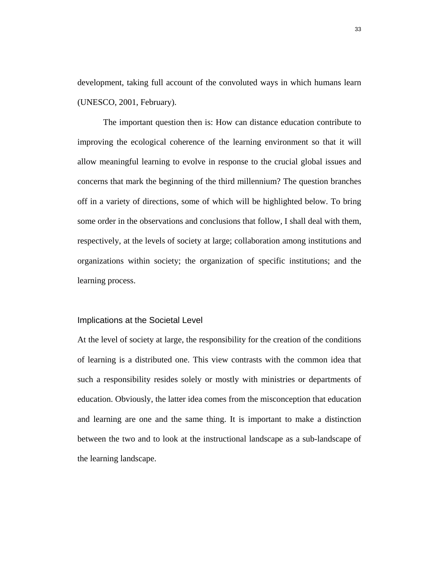development, taking full account of the convoluted ways in which humans learn (UNESCO, 2001, February).

The important question then is: How can distance education contribute to improving the ecological coherence of the learning environment so that it will allow meaningful learning to evolve in response to the crucial global issues and concerns that mark the beginning of the third millennium? The question branches off in a variety of directions, some of which will be highlighted below. To bring some order in the observations and conclusions that follow, I shall deal with them, respectively, at the levels of society at large; collaboration among institutions and organizations within society; the organization of specific institutions; and the learning process.

#### Implications at the Societal Level

At the level of society at large, the responsibility for the creation of the conditions of learning is a distributed one. This view contrasts with the common idea that such a responsibility resides solely or mostly with ministries or departments of education. Obviously, the latter idea comes from the misconception that education and learning are one and the same thing. It is important to make a distinction between the two and to look at the instructional landscape as a sub-landscape of the learning landscape.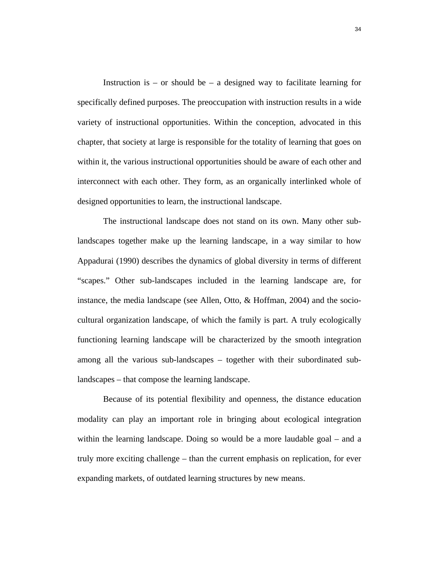Instruction is – or should be – a designed way to facilitate learning for specifically defined purposes. The preoccupation with instruction results in a wide variety of instructional opportunities. Within the conception, advocated in this chapter, that society at large is responsible for the totality of learning that goes on within it, the various instructional opportunities should be aware of each other and interconnect with each other. They form, as an organically interlinked whole of designed opportunities to learn, the instructional landscape.

The instructional landscape does not stand on its own. Many other sublandscapes together make up the learning landscape, in a way similar to how Appadurai (1990) describes the dynamics of global diversity in terms of different "scapes." Other sub-landscapes included in the learning landscape are, for instance, the media landscape (see Allen, Otto, & Hoffman, 2004) and the sociocultural organization landscape, of which the family is part. A truly ecologically functioning learning landscape will be characterized by the smooth integration among all the various sub-landscapes – together with their subordinated sublandscapes – that compose the learning landscape.

Because of its potential flexibility and openness, the distance education modality can play an important role in bringing about ecological integration within the learning landscape. Doing so would be a more laudable goal – and a truly more exciting challenge – than the current emphasis on replication, for ever expanding markets, of outdated learning structures by new means.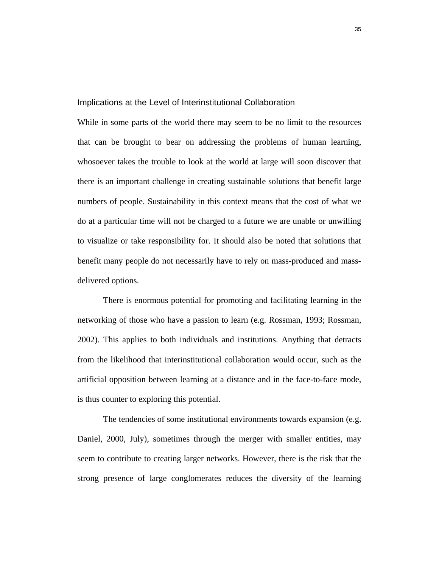#### Implications at the Level of Interinstitutional Collaboration

While in some parts of the world there may seem to be no limit to the resources that can be brought to bear on addressing the problems of human learning, whosoever takes the trouble to look at the world at large will soon discover that there is an important challenge in creating sustainable solutions that benefit large numbers of people. Sustainability in this context means that the cost of what we do at a particular time will not be charged to a future we are unable or unwilling to visualize or take responsibility for. It should also be noted that solutions that benefit many people do not necessarily have to rely on mass-produced and massdelivered options.

There is enormous potential for promoting and facilitating learning in the networking of those who have a passion to learn (e.g. Rossman, 1993; Rossman, 2002). This applies to both individuals and institutions. Anything that detracts from the likelihood that interinstitutional collaboration would occur, such as the artificial opposition between learning at a distance and in the face-to-face mode, is thus counter to exploring this potential.

The tendencies of some institutional environments towards expansion (e.g. Daniel, 2000, July), sometimes through the merger with smaller entities, may seem to contribute to creating larger networks. However, there is the risk that the strong presence of large conglomerates reduces the diversity of the learning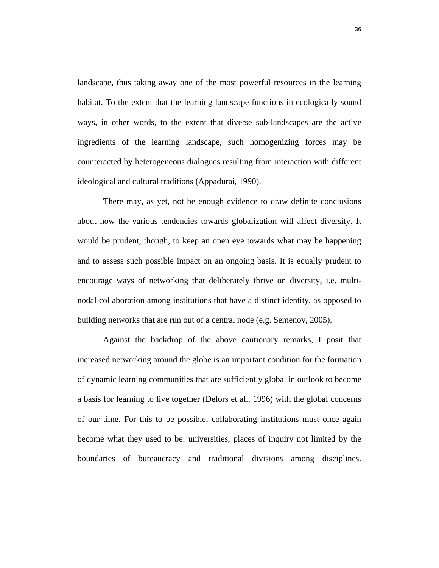landscape, thus taking away one of the most powerful resources in the learning habitat. To the extent that the learning landscape functions in ecologically sound ways, in other words, to the extent that diverse sub-landscapes are the active ingredients of the learning landscape, such homogenizing forces may be counteracted by heterogeneous dialogues resulting from interaction with different ideological and cultural traditions (Appadurai, 1990).

There may, as yet, not be enough evidence to draw definite conclusions about how the various tendencies towards globalization will affect diversity. It would be prudent, though, to keep an open eye towards what may be happening and to assess such possible impact on an ongoing basis. It is equally prudent to encourage ways of networking that deliberately thrive on diversity, i.e. multinodal collaboration among institutions that have a distinct identity, as opposed to building networks that are run out of a central node (e.g. Semenov, 2005).

Against the backdrop of the above cautionary remarks, I posit that increased networking around the globe is an important condition for the formation of dynamic learning communities that are sufficiently global in outlook to become a basis for learning to live together (Delors et al., 1996) with the global concerns of our time. For this to be possible, collaborating institutions must once again become what they used to be: universities, places of inquiry not limited by the boundaries of bureaucracy and traditional divisions among disciplines.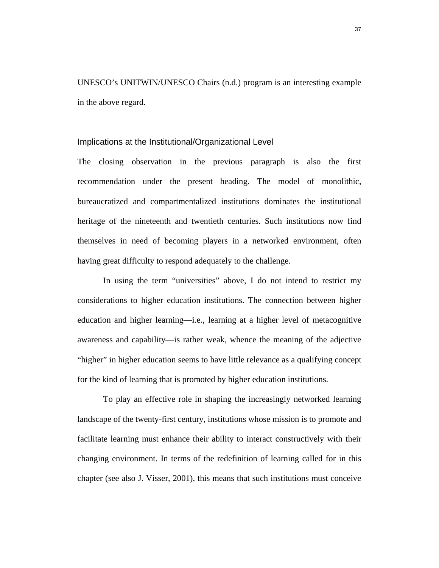UNESCO's UNITWIN/UNESCO Chairs (n.d.) program is an interesting example in the above regard.

#### Implications at the Institutional/Organizational Level

The closing observation in the previous paragraph is also the first recommendation under the present heading. The model of monolithic, bureaucratized and compartmentalized institutions dominates the institutional heritage of the nineteenth and twentieth centuries. Such institutions now find themselves in need of becoming players in a networked environment, often having great difficulty to respond adequately to the challenge.

In using the term "universities" above, I do not intend to restrict my considerations to higher education institutions. The connection between higher education and higher learning—i.e., learning at a higher level of metacognitive awareness and capability—is rather weak, whence the meaning of the adjective "higher" in higher education seems to have little relevance as a qualifying concept for the kind of learning that is promoted by higher education institutions.

To play an effective role in shaping the increasingly networked learning landscape of the twenty-first century, institutions whose mission is to promote and facilitate learning must enhance their ability to interact constructively with their changing environment. In terms of the redefinition of learning called for in this chapter (see also J. Visser, 2001), this means that such institutions must conceive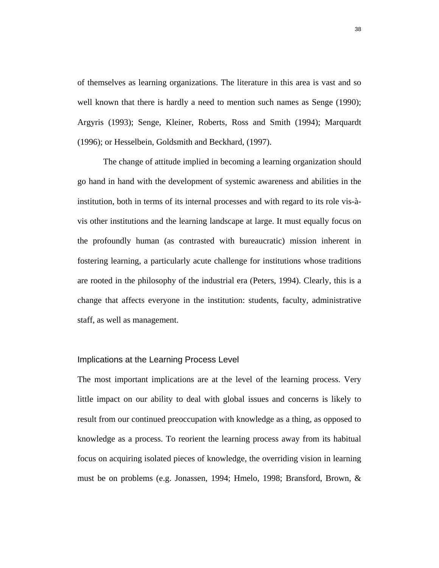of themselves as learning organizations. The literature in this area is vast and so well known that there is hardly a need to mention such names as Senge (1990); Argyris (1993); Senge, Kleiner, Roberts, Ross and Smith (1994); Marquardt (1996); or Hesselbein, Goldsmith and Beckhard, (1997).

The change of attitude implied in becoming a learning organization should go hand in hand with the development of systemic awareness and abilities in the institution, both in terms of its internal processes and with regard to its role vis-àvis other institutions and the learning landscape at large. It must equally focus on the profoundly human (as contrasted with bureaucratic) mission inherent in fostering learning, a particularly acute challenge for institutions whose traditions are rooted in the philosophy of the industrial era (Peters, 1994). Clearly, this is a change that affects everyone in the institution: students, faculty, administrative staff, as well as management.

#### Implications at the Learning Process Level

The most important implications are at the level of the learning process. Very little impact on our ability to deal with global issues and concerns is likely to result from our continued preoccupation with knowledge as a thing, as opposed to knowledge as a process. To reorient the learning process away from its habitual focus on acquiring isolated pieces of knowledge, the overriding vision in learning must be on problems (e.g. Jonassen, 1994; Hmelo, 1998; Bransford, Brown, &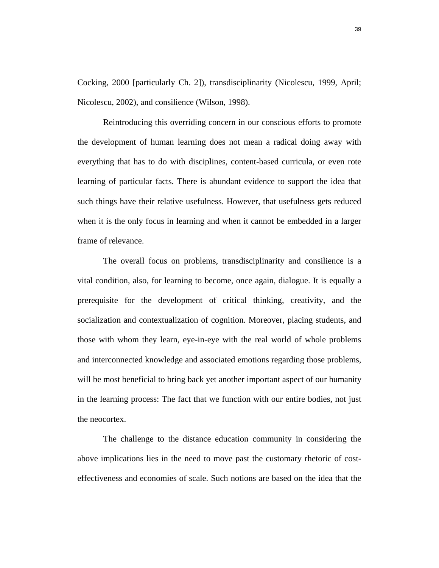Cocking, 2000 [particularly Ch. 2]), transdisciplinarity (Nicolescu, 1999, April; Nicolescu, 2002), and consilience (Wilson, 1998).

Reintroducing this overriding concern in our conscious efforts to promote the development of human learning does not mean a radical doing away with everything that has to do with disciplines, content-based curricula, or even rote learning of particular facts. There is abundant evidence to support the idea that such things have their relative usefulness. However, that usefulness gets reduced when it is the only focus in learning and when it cannot be embedded in a larger frame of relevance.

The overall focus on problems, transdisciplinarity and consilience is a vital condition, also, for learning to become, once again, dialogue. It is equally a prerequisite for the development of critical thinking, creativity, and the socialization and contextualization of cognition. Moreover, placing students, and those with whom they learn, eye-in-eye with the real world of whole problems and interconnected knowledge and associated emotions regarding those problems, will be most beneficial to bring back yet another important aspect of our humanity in the learning process: The fact that we function with our entire bodies, not just the neocortex.

The challenge to the distance education community in considering the above implications lies in the need to move past the customary rhetoric of costeffectiveness and economies of scale. Such notions are based on the idea that the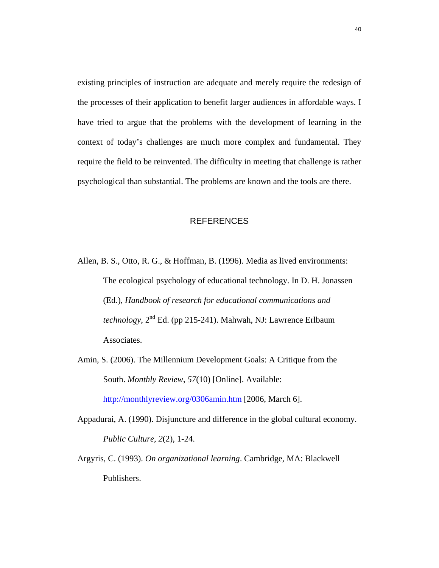existing principles of instruction are adequate and merely require the redesign of the processes of their application to benefit larger audiences in affordable ways. I have tried to argue that the problems with the development of learning in the context of today's challenges are much more complex and fundamental. They require the field to be reinvented. The difficulty in meeting that challenge is rather psychological than substantial. The problems are known and the tools are there.

#### REFERENCES

- Allen, B. S., Otto, R. G., & Hoffman, B. (1996). Media as lived environments: The ecological psychology of educational technology. In D. H. Jonassen (Ed.), *Handbook of research for educational communications and technology*, 2nd Ed. (pp 215-241). Mahwah, NJ: Lawrence Erlbaum Associates.
- Amin, S. (2006). The Millennium Development Goals: A Critique from the South. *Monthly Review*, *57*(10) [Online]. Available: http://monthlyreview.org/0306amin.htm [2006, March 6].
- Appadurai, A. (1990). Disjuncture and difference in the global cultural economy. *Public Culture*, *2*(2), 1-24.
- Argyris, C. (1993). *On organizational learning*. Cambridge, MA: Blackwell Publishers.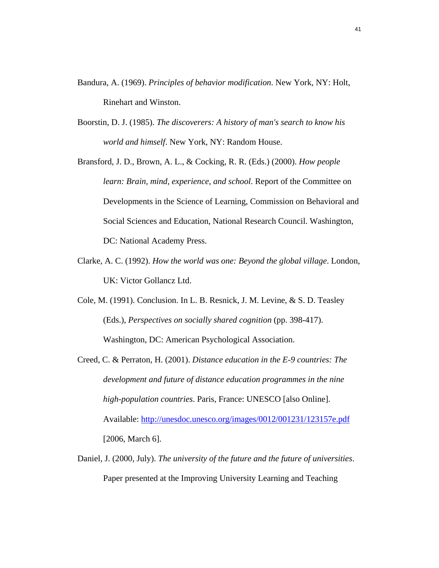- Bandura, A. (1969). *Principles of behavior modification*. New York, NY: Holt, Rinehart and Winston.
- Boorstin, D. J. (1985). *The discoverers: A history of man's search to know his world and himself*. New York, NY: Random House.
- Bransford, J. D., Brown, A. L., & Cocking, R. R. (Eds.) (2000). *How people learn: Brain, mind, experience, and school*. Report of the Committee on Developments in the Science of Learning, Commission on Behavioral and Social Sciences and Education, National Research Council. Washington, DC: National Academy Press.
- Clarke, A. C. (1992). *How the world was one: Beyond the global village*. London, UK: Victor Gollancz Ltd.
- Cole, M. (1991). Conclusion. In L. B. Resnick, J. M. Levine, & S. D. Teasley (Eds.), *Perspectives on socially shared cognition* (pp. 398-417). Washington, DC: American Psychological Association.
- Creed, C. & Perraton, H. (2001). *Distance education in the E-9 countries: The development and future of distance education programmes in the nine high-population countries*. Paris, France: UNESCO [also Online]. Available: http://unesdoc.unesco.org/images/0012/001231/123157e.pdf [2006, March 6].
- Daniel, J. (2000, July). *The university of the future and the future of universities*. Paper presented at the Improving University Learning and Teaching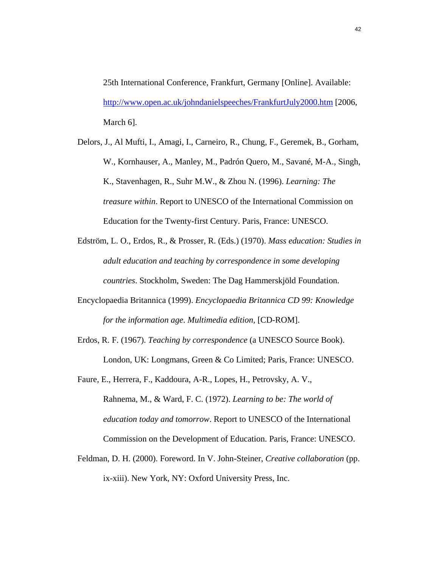25th International Conference, Frankfurt, Germany [Online]. Available: http://www.open.ac.uk/johndanielspeeches/FrankfurtJuly2000.htm [2006, March 6].

- Delors, J., Al Mufti, I., Amagi, I., Carneiro, R., Chung, F., Geremek, B., Gorham, W., Kornhauser, A., Manley, M., Padrón Quero, M., Savané, M-A., Singh, K., Stavenhagen, R., Suhr M.W., & Zhou N. (1996). *Learning: The treasure within*. Report to UNESCO of the International Commission on Education for the Twenty-first Century. Paris, France: UNESCO.
- Edström, L. O., Erdos, R., & Prosser, R. (Eds.) (1970). *Mass education: Studies in adult education and teaching by correspondence in some developing countries*. Stockholm, Sweden: The Dag Hammerskjöld Foundation.
- Encyclopaedia Britannica (1999). *Encyclopaedia Britannica CD 99: Knowledge for the information age*. *Multimedia edition,* [CD-ROM].
- Erdos, R. F. (1967). *Teaching by correspondence* (a UNESCO Source Book). London, UK: Longmans, Green & Co Limited; Paris, France: UNESCO.
- Faure, E., Herrera, F., Kaddoura, A-R., Lopes, H., Petrovsky, A. V., Rahnema, M., & Ward, F. C. (1972). *Learning to be: The world of education today and tomorrow*. Report to UNESCO of the International Commission on the Development of Education. Paris, France: UNESCO.
- Feldman, D. H. (2000). Foreword. In V. John-Steiner, *Creative collaboration* (pp. ix-xiii). New York, NY: Oxford University Press, Inc.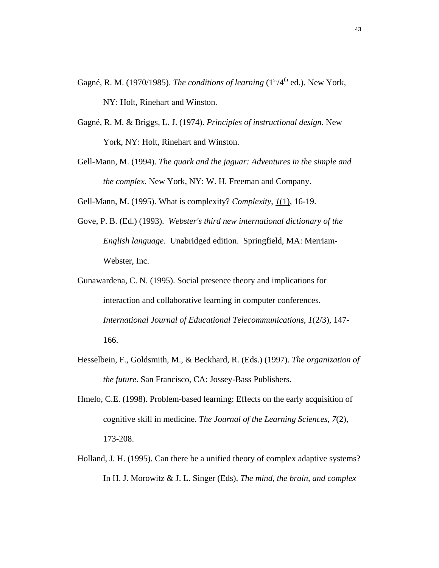- Gagné, R. M. (1970/1985). *The conditions of learning*  $(1<sup>st</sup>/4<sup>th</sup>$ ed.). New York, NY: Holt, Rinehart and Winston.
- Gagné, R. M. & Briggs, L. J. (1974). *Principles of instructional design*. New York, NY: Holt, Rinehart and Winston.
- Gell-Mann, M. (1994). *The quark and the jaguar: Adventures in the simple and the complex*. New York, NY: W. H. Freeman and Company.

Gell-Mann, M. (1995). What is complexity? *Complexity*, *1*(1), 16-19.

- Gove, P. B. (Ed.) (1993). *Webster's third new international dictionary of the English language*. Unabridged edition. Springfield, MA: Merriam-Webster, Inc.
- Gunawardena, C. N. (1995). Social presence theory and implications for interaction and collaborative learning in computer conferences. *International Journal of Educational Telecommunications*, *1*(2/3), 147- 166.
- Hesselbein, F., Goldsmith, M., & Beckhard, R. (Eds.) (1997). *The organization of the future*. San Francisco, CA: Jossey-Bass Publishers.
- Hmelo, C.E. (1998). Problem-based learning: Effects on the early acquisition of cognitive skill in medicine. *The Journal of the Learning Sciences*, *7*(2), 173-208.
- Holland, J. H. (1995). Can there be a unified theory of complex adaptive systems? In H. J. Morowitz & J. L. Singer (Eds), *The mind, the brain, and complex*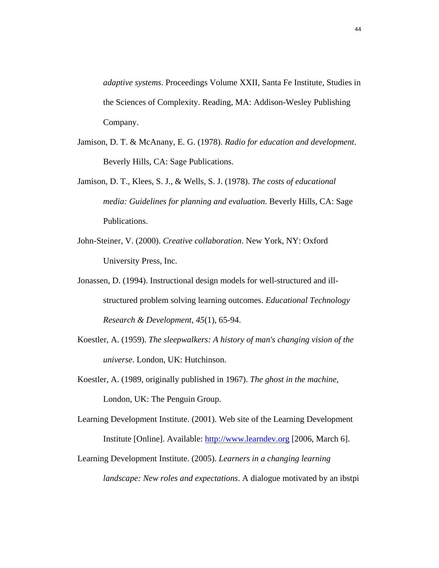*adaptive systems*. Proceedings Volume XXII, Santa Fe Institute, Studies in the Sciences of Complexity. Reading, MA: Addison-Wesley Publishing Company.

- Jamison, D. T. & McAnany, E. G. (1978). *Radio for education and development*. Beverly Hills, CA: Sage Publications.
- Jamison, D. T., Klees, S. J., & Wells, S. J. (1978). *The costs of educational media: Guidelines for planning and evaluation*. Beverly Hills, CA: Sage Publications.
- John-Steiner, V. (2000). *Creative collaboration*. New York, NY: Oxford University Press, Inc.
- Jonassen, D. (1994). Instructional design models for well-structured and illstructured problem solving learning outcomes. *Educational Technology Research & Development*, *45*(1), 65-94.
- Koestler, A. (1959). *The sleepwalkers: A history of man's changing vision of the universe*. London, UK: Hutchinson.
- Koestler, A. (1989, originally published in 1967). *The ghost in the machine*, London, UK: The Penguin Group.

Learning Development Institute. (2001). Web site of the Learning Development Institute [Online]. Available: http://www.learndev.org [2006, March 6].

Learning Development Institute. (2005). *Learners in a changing learning landscape: New roles and expectations*. A dialogue motivated by an ibstpi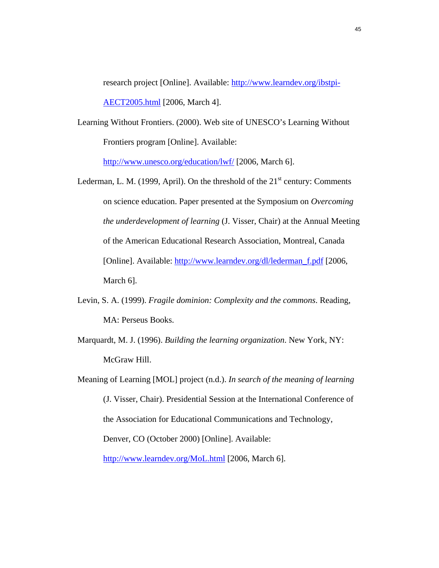research project [Online]. Available: http://www.learndev.org/ibstpi-AECT2005.html [2006, March 4].

Learning Without Frontiers. (2000). Web site of UNESCO's Learning Without Frontiers program [Online]. Available:

http://www.unesco.org/education/lwf/ [2006, March 6].

- Lederman, L. M. (1999, April). On the threshold of the  $21<sup>st</sup>$  century: Comments on science education. Paper presented at the Symposium on *Overcoming the underdevelopment of learning* (J. Visser, Chair) at the Annual Meeting of the American Educational Research Association, Montreal, Canada [Online]. Available: http://www.learndev.org/dl/lederman\_f.pdf [2006, March 6].
- Levin, S. A. (1999). *Fragile dominion: Complexity and the commons*. Reading, MA: Perseus Books.
- Marquardt, M. J. (1996). *Building the learning organization*. New York, NY: McGraw Hill.
- Meaning of Learning [MOL] project (n.d.). *In search of the meaning of learning* (J. Visser, Chair). Presidential Session at the International Conference of the Association for Educational Communications and Technology, Denver, CO (October 2000) [Online]. Available: http://www.learndev.org/MoL.html [2006, March 6].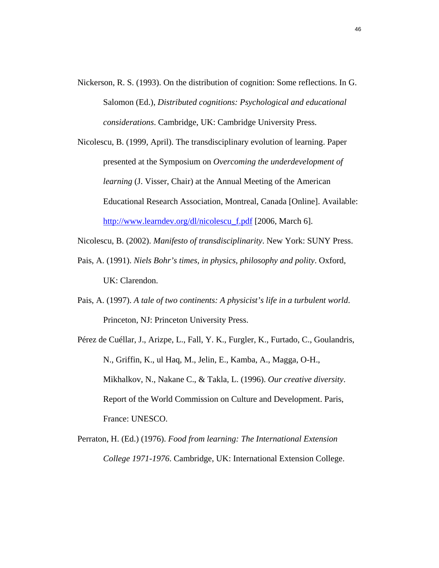- Nickerson, R. S. (1993). On the distribution of cognition: Some reflections. In G. Salomon (Ed.), *Distributed cognitions: Psychological and educational considerations*. Cambridge, UK: Cambridge University Press.
- Nicolescu, B. (1999, April). The transdisciplinary evolution of learning. Paper presented at the Symposium on *Overcoming the underdevelopment of learning* (J. Visser, Chair) at the Annual Meeting of the American Educational Research Association, Montreal, Canada [Online]. Available: http://www.learndev.org/dl/nicolescu\_f.pdf [2006, March 6].

Nicolescu, B. (2002). *Manifesto of transdisciplinarity*. New York: SUNY Press.

- Pais, A. (1991). *Niels Bohr's times, in physics, philosophy and polity*. Oxford, UK: Clarendon.
- Pais, A. (1997). *A tale of two continents: A physicist's life in a turbulent world*. Princeton, NJ: Princeton University Press.
- Pérez de Cuéllar, J., Arizpe, L., Fall, Y. K., Furgler, K., Furtado, C., Goulandris, N., Griffin, K., ul Haq, M., Jelin, E., Kamba, A., Magga, O-H., Mikhalkov, N., Nakane C., & Takla, L. (1996). *Our creative diversity*. Report of the World Commission on Culture and Development. Paris, France: UNESCO.
- Perraton, H. (Ed.) (1976). *Food from learning: The International Extension College 1971-1976*. Cambridge, UK: International Extension College.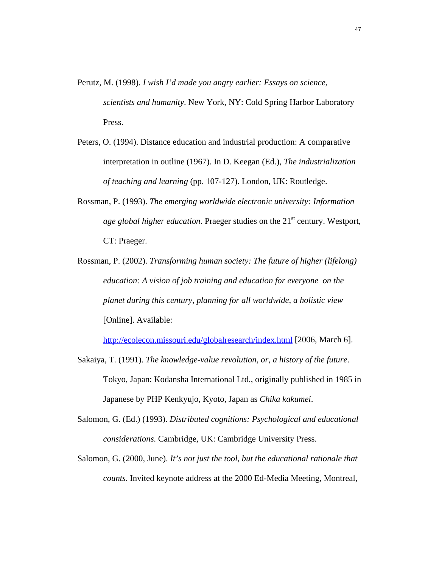- Perutz, M. (1998). *I wish I'd made you angry earlier: Essays on science, scientists and humanity*. New York, NY: Cold Spring Harbor Laboratory Press.
- Peters, O. (1994). Distance education and industrial production: A comparative interpretation in outline (1967). In D. Keegan (Ed.), *The industrialization of teaching and learning* (pp. 107-127). London, UK: Routledge.
- Rossman, P. (1993). *The emerging worldwide electronic university: Information age global higher education.* Praeger studies on the 21<sup>st</sup> century. Westport, CT: Praeger.
- Rossman, P. (2002). *Transforming human society: The future of higher (lifelong) education: A vision of job training and education for everyone on the planet during this century, planning for all worldwide, a holistic view* [Online]. Available:

http://ecolecon.missouri.edu/globalresearch/index.html [2006, March 6].

- Sakaiya, T. (1991). *The knowledge-value revolution, or, a history of the future*. Tokyo, Japan: Kodansha International Ltd., originally published in 1985 in Japanese by PHP Kenkyujo, Kyoto, Japan as *Chika kakumei*.
- Salomon, G. (Ed.) (1993). *Distributed cognitions: Psychological and educational considerations*. Cambridge, UK: Cambridge University Press.
- Salomon, G. (2000, June). *It's not just the tool, but the educational rationale that counts*. Invited keynote address at the 2000 Ed-Media Meeting, Montreal,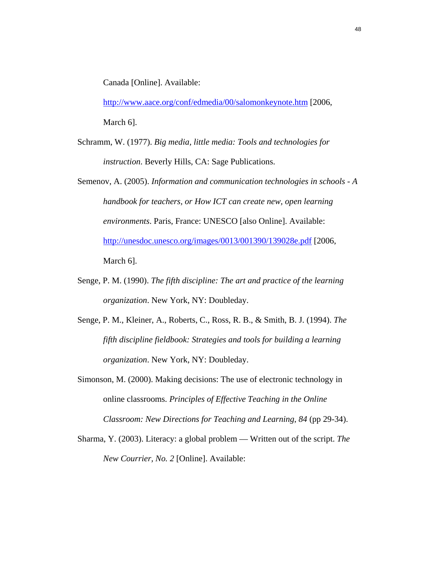Canada [Online]. Available:

http://www.aace.org/conf/edmedia/00/salomonkeynote.htm [2006, March 6].

- Schramm, W. (1977). *Big media, little media: Tools and technologies for instruction*. Beverly Hills, CA: Sage Publications.
- Semenov, A. (2005). *Information and communication technologies in schools A handbook for teachers, or How ICT can create new, open learning environments*. Paris, France: UNESCO [also Online]. Available: http://unesdoc.unesco.org/images/0013/001390/139028e.pdf [2006, March 6].
- Senge, P. M. (1990). *The fifth discipline: The art and practice of the learning organization*. New York, NY: Doubleday.
- Senge, P. M., Kleiner, A., Roberts, C., Ross, R. B., & Smith, B. J. (1994). *The fifth discipline fieldbook: Strategies and tools for building a learning organization*. New York, NY: Doubleday.
- Simonson, M. (2000). Making decisions: The use of electronic technology in online classrooms. *Principles of Effective Teaching in the Online Classroom: New Directions for Teaching and Learning*, *84* (pp 29-34).
- Sharma, Y. (2003). Literacy: a global problem Written out of the script. *The New Courrier, No. 2* [Online]. Available: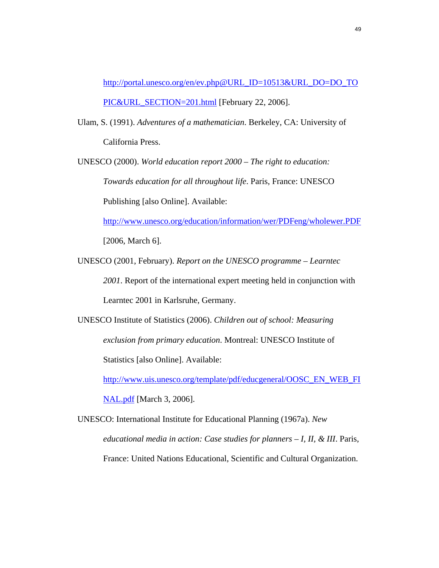http://portal.unesco.org/en/ev.php@URL\_ID=10513&URL\_DO=DO\_TO PIC&URL\_SECTION=201.html [February 22, 2006].

- Ulam, S. (1991). *Adventures of a mathematician*. Berkeley, CA: University of California Press.
- UNESCO (2000). *World education report 2000 The right to education: Towards education for all throughout life*. Paris, France: UNESCO Publishing [also Online]. Available:

http://www.unesco.org/education/information/wer/PDFeng/wholewer.PDF

[2006, March 6].

UNESCO (2001, February). *Report on the UNESCO programme – Learntec* 

*2001*. Report of the international expert meeting held in conjunction with

Learntec 2001 in Karlsruhe, Germany.

UNESCO Institute of Statistics (2006). *Children out of school: Measuring exclusion from primary education*. Montreal: UNESCO Institute of Statistics [also Online]. Available: http://www.uis.unesco.org/template/pdf/educgeneral/OOSC\_EN\_WEB\_FI

NAL.pdf [March 3, 2006].

UNESCO: International Institute for Educational Planning (1967a). *New educational media in action: Case studies for planners – I, II, & III*. Paris, France: United Nations Educational, Scientific and Cultural Organization.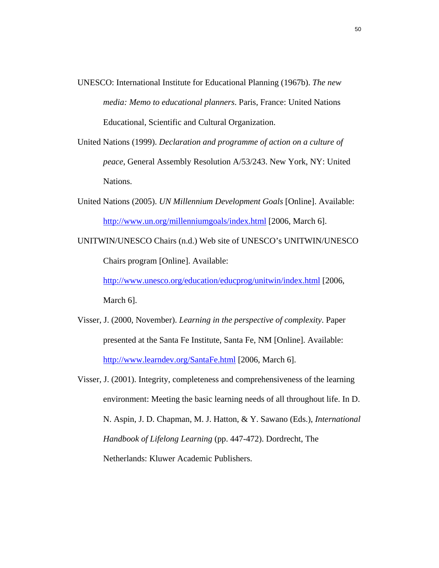- UNESCO: International Institute for Educational Planning (1967b). *The new media: Memo to educational planners*. Paris, France: United Nations Educational, Scientific and Cultural Organization.
- United Nations (1999). *Declaration and programme of action on a culture of peace*, General Assembly Resolution A/53/243. New York, NY: United Nations.
- United Nations (2005). *UN Millennium Development Goals* [Online]. Available: http://www.un.org/millenniumgoals/index.html [2006, March 6].
- UNITWIN/UNESCO Chairs (n.d.) Web site of UNESCO's UNITWIN/UNESCO Chairs program [Online]. Available:

http://www.unesco.org/education/educprog/unitwin/index.html [2006, March 6].

- Visser, J. (2000, November). *Learning in the perspective of complexity*. Paper presented at the Santa Fe Institute, Santa Fe, NM [Online]. Available: http://www.learndev.org/SantaFe.html [2006, March 6].
- Visser, J. (2001). Integrity, completeness and comprehensiveness of the learning environment: Meeting the basic learning needs of all throughout life. In D. N. Aspin, J. D. Chapman, M. J. Hatton, & Y. Sawano (Eds.), *International Handbook of Lifelong Learning* (pp. 447-472). Dordrecht, The Netherlands: Kluwer Academic Publishers.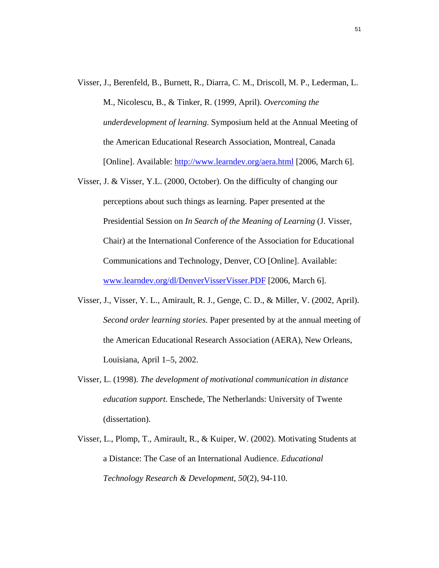- Visser, J., Berenfeld, B., Burnett, R., Diarra, C. M., Driscoll, M. P., Lederman, L. M., Nicolescu, B., & Tinker, R. (1999, April). *Overcoming the underdevelopment of learning*. Symposium held at the Annual Meeting of the American Educational Research Association, Montreal, Canada [Online]. Available: http://www.learndev.org/aera.html [2006, March 6].
- Visser, J. & Visser, Y.L. (2000, October). On the difficulty of changing our perceptions about such things as learning. Paper presented at the Presidential Session on *In Search of the Meaning of Learning* (J. Visser, Chair) at the International Conference of the Association for Educational Communications and Technology, Denver, CO [Online]. Available: www.learndev.org/dl/DenverVisserVisser.PDF [2006, March 6].
- Visser, J., Visser, Y. L., Amirault, R. J., Genge, C. D., & Miller, V. (2002, April). *Second order learning stories*. Paper presented by at the annual meeting of the American Educational Research Association (AERA), New Orleans, Louisiana, April 1–5, 2002.
- Visser, L. (1998). *The development of motivational communication in distance education support*. Enschede, The Netherlands: University of Twente (dissertation).
- Visser, L., Plomp, T., Amirault, R., & Kuiper, W. (2002). Motivating Students at a Distance: The Case of an International Audience. *Educational Technology Research & Development*, *50*(2), 94-110.